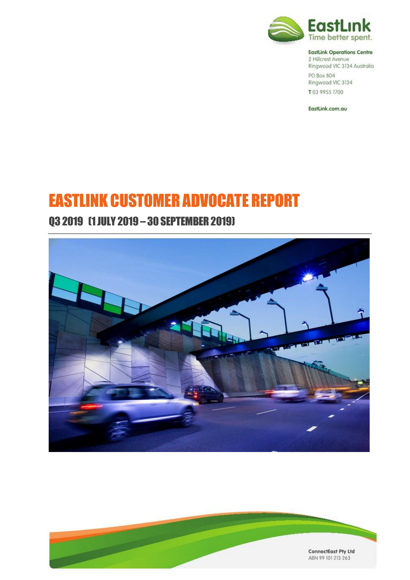

#### **EastLink Operations Centre**

2 Hillcrest Avenue Ringwood VIC 3134 Australia PO Box 804 Ringwood VIC 3134 T03 9955 1700

EastLink.com.au

# EASTLINK CUSTOMER ADVOCATE REPORT

# Q3 2019 (1 JULY 2019 – 30 SEPTEMBER 2019)



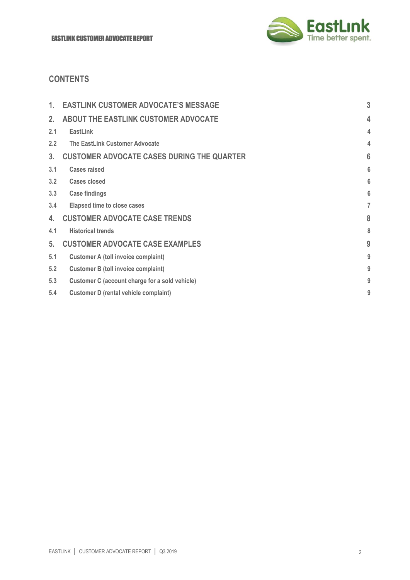

# **CONTENTS**

| 1.             | <b>EASTLINK CUSTOMER ADVOCATE'S MESSAGE</b>       | 3 |
|----------------|---------------------------------------------------|---|
| 2.             | ABOUT THE EASTLINK CUSTOMER ADVOCATE              | 4 |
| 2.1            | EastLink                                          | 4 |
| $2.2^{\circ}$  | The EastLink Customer Advocate                    | 4 |
| 3 <sub>1</sub> | <b>CUSTOMER ADVOCATE CASES DURING THE QUARTER</b> | 6 |
| 3.1            | <b>Cases raised</b>                               | 6 |
| 3.2            | <b>Cases closed</b>                               | 6 |
| 3.3            | <b>Case findings</b>                              | 6 |
| 3.4            | <b>Elapsed time to close cases</b>                | 7 |
| 4.             | <b>CUSTOMER ADVOCATE CASE TRENDS</b>              | 8 |
| 4.1            | <b>Historical trends</b>                          | 8 |
| 5 <sub>1</sub> | <b>CUSTOMER ADVOCATE CASE EXAMPLES</b>            | g |
| 5.1            | <b>Customer A (toll invoice complaint)</b>        | g |
| 5.2            | <b>Customer B (toll invoice complaint)</b>        | g |
| 5.3            | Customer C (account charge for a sold vehicle)    | g |
| 5.4            | <b>Customer D (rental vehicle complaint)</b>      | g |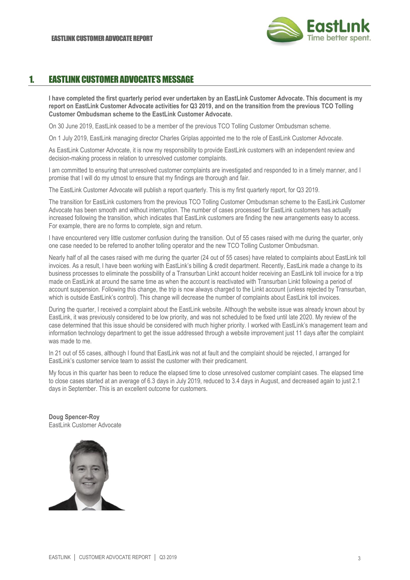

# 1. EASTLINK CUSTOMER ADVOCATE'S MESSAGE

**I have completed the first quarterly period ever undertaken by an EastLink Customer Advocate. This document is my report on EastLink Customer Advocate activities for Q3 2019, and on the transition from the previous TCO Tolling Customer Ombudsman scheme to the EastLink Customer Advocate.**

On 30 June 2019, EastLink ceased to be a member of the previous TCO Tolling Customer Ombudsman scheme.

On 1 July 2019, EastLink managing director Charles Griplas appointed me to the role of EastLink Customer Advocate.

As EastLink Customer Advocate, it is now my responsibility to provide EastLink customers with an independent review and decision-making process in relation to unresolved customer complaints.

I am committed to ensuring that unresolved customer complaints are investigated and responded to in a timely manner, and I promise that I will do my utmost to ensure that my findings are thorough and fair.

The EastLink Customer Advocate will publish a report quarterly. This is my first quarterly report, for Q3 2019.

The transition for EastLink customers from the previous TCO Tolling Customer Ombudsman scheme to the EastLink Customer Advocate has been smooth and without interruption. The number of cases processed for EastLink customers has actually increased following the transition, which indicates that EastLink customers are finding the new arrangements easy to access. For example, there are no forms to complete, sign and return.

I have encountered very little customer confusion during the transition. Out of 55 cases raised with me during the quarter, only one case needed to be referred to another tolling operator and the new TCO Tolling Customer Ombudsman.

Nearly half of all the cases raised with me during the quarter (24 out of 55 cases) have related to complaints about EastLink toll invoices. As a result, I have been working with EastLink's billing & credit department. Recently, EastLink made a change to its business processes to eliminate the possibility of a Transurban Linkt account holder receiving an EastLink toll invoice for a trip made on EastLink at around the same time as when the account is reactivated with Transurban Linkt following a period of account suspension. Following this change, the trip is now always charged to the Linkt account (unless rejected by Transurban, which is outside EastLink's control). This change will decrease the number of complaints about EastLink toll invoices.

During the quarter, I received a complaint about the EastLink website. Although the website issue was already known about by EastLink, it was previously considered to be low priority, and was not scheduled to be fixed until late 2020. My review of the case determined that this issue should be considered with much higher priority. I worked with EastLink's management team and information technology department to get the issue addressed through a website improvement just 11 days after the complaint was made to me.

In 21 out of 55 cases, although I found that EastLink was not at fault and the complaint should be rejected, I arranged for EastLink's customer service team to assist the customer with their predicament.

My focus in this quarter has been to reduce the elapsed time to close unresolved customer complaint cases. The elapsed time to close cases started at an average of 6.3 days in July 2019, reduced to 3.4 days in August, and decreased again to just 2.1 days in September. This is an excellent outcome for customers.

**Doug Spencer-Roy** EastLink Customer Advocate

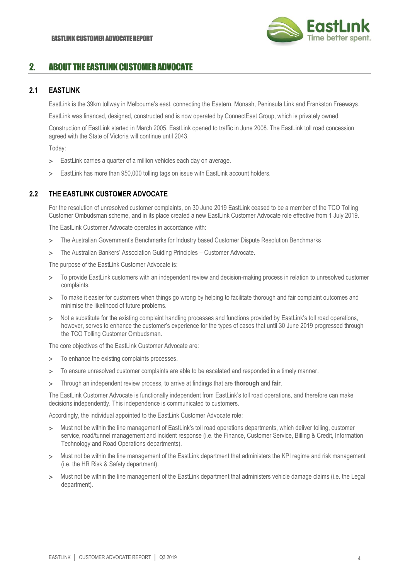

# 2. ABOUT THE EASTLINK CUSTOMER ADVOCATE

### **2.1 EASTLINK**

EastLink is the 39km tollway in Melbourne's east, connecting the Eastern, Monash, Peninsula Link and Frankston Freeways.

EastLink was financed, designed, constructed and is now operated by ConnectEast Group, which is privately owned.

Construction of EastLink started in March 2005. EastLink opened to traffic in June 2008. The EastLink toll road concession agreed with the State of Victoria will continue until 2043.

Today:

- EastLink carries a quarter of a million vehicles each day on average.
- EastLink has more than 950,000 tolling tags on issue with EastLink account holders.

## **2.2 THE EASTLINK CUSTOMER ADVOCATE**

For the resolution of unresolved customer complaints, on 30 June 2019 EastLink ceased to be a member of the TCO Tolling Customer Ombudsman scheme, and in its place created a new EastLink Customer Advocate role effective from 1 July 2019.

The EastLink Customer Advocate operates in accordance with:

- The Australian Government's Benchmarks for Industry based Customer Dispute Resolution Benchmarks
- The Australian Bankers' Association Guiding Principles Customer Advocate.

The purpose of the EastLink Customer Advocate is:

- To provide EastLink customers with an independent review and decision-making process in relation to unresolved customer complaints.
- To make it easier for customers when things go wrong by helping to facilitate thorough and fair complaint outcomes and minimise the likelihood of future problems.
- > Not a substitute for the existing complaint handling processes and functions provided by EastLink's toll road operations, however, serves to enhance the customer's experience for the types of cases that until 30 June 2019 progressed through the TCO Tolling Customer Ombudsman.

The core objectives of the EastLink Customer Advocate are:

- > To enhance the existing complaints processes.
- To ensure unresolved customer complaints are able to be escalated and responded in a timely manner.
- Through an independent review process, to arrive at findings that are **thorough** and **fair**.

The EastLink Customer Advocate is functionally independent from EastLink's toll road operations, and therefore can make decisions independently. This independence is communicated to customers.

Accordingly, the individual appointed to the EastLink Customer Advocate role:

- Must not be within the line management of EastLink's toll road operations departments, which deliver tolling, customer service, road/tunnel management and incident response (i.e. the Finance, Customer Service, Billing & Credit, Information Technology and Road Operations departments).
- > Must not be within the line management of the EastLink department that administers the KPI regime and risk management (i.e. the HR Risk & Safety department).
- > Must not be within the line management of the EastLink department that administers vehicle damage claims (i.e. the Legal department).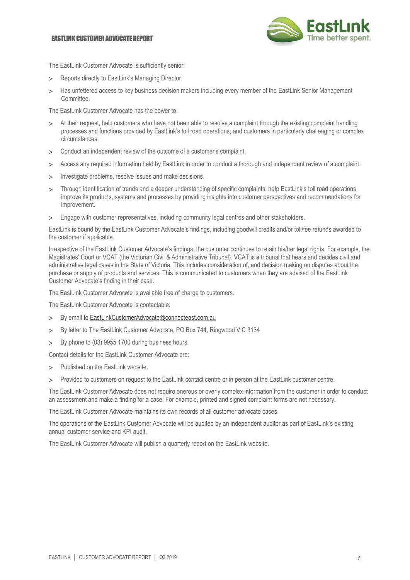#### EASTLINK CUSTOMER ADVOCATE REPORT



The EastLink Customer Advocate is sufficiently senior:

- > Reports directly to EastLink's Managing Director.
- > Has unfettered access to key business decision makers including every member of the EastLink Senior Management Committee.

The EastLink Customer Advocate has the power to:

- At their request, help customers who have not been able to resolve a complaint through the existing complaint handling processes and functions provided by EastLink's toll road operations, and customers in particularly challenging or complex circumstances.
- Conduct an independent review of the outcome of a customer's complaint.
- Access any required information held by EastLink in order to conduct a thorough and independent review of a complaint.
- > Investigate problems, resolve issues and make decisions.
- > Through identification of trends and a deeper understanding of specific complaints, help EastLink's toll road operations improve its products, systems and processes by providing insights into customer perspectives and recommendations for improvement.
- Engage with customer representatives, including community legal centres and other stakeholders.

EastLink is bound by the EastLink Customer Advocate's findings, including goodwill credits and/or toll/fee refunds awarded to the customer if applicable.

Irrespective of the EastLink Customer Advocate's findings, the customer continues to retain his/her legal rights. For example, the Magistrates' Court or VCAT (the Victorian Civil & Administrative Tribunal). VCAT is a tribunal that hears and decides civil and administrative legal cases in the State of Victoria. This includes consideration of, and decision making on disputes about the purchase or supply of products and services. This is communicated to customers when they are advised of the EastLink Customer Advocate's finding in their case.

The EastLink Customer Advocate is available free of charge to customers.

The EastLink Customer Advocate is contactable:

- > By email t[o EastLinkCustomerAdvocate@connecteast.com.au](mailto:EastLinkCustomerAdvocate@connecteast.com.au)
- > By letter to The EastLink Customer Advocate, PO Box 744, Ringwood VIC 3134
- > By phone to (03) 9955 1700 during business hours.

Contact details for the EastLink Customer Advocate are:

- > Published on the EastLink website.
- Provided to customers on request to the EastLink contact centre or in person at the EastLink customer centre.

The EastLink Customer Advocate does not require onerous or overly complex information from the customer in order to conduct an assessment and make a finding for a case. For example, printed and signed complaint forms are not necessary.

The EastLink Customer Advocate maintains its own records of all customer advocate cases.

The operations of the EastLink Customer Advocate will be audited by an independent auditor as part of EastLink's existing annual customer service and KPI audit.

The EastLink Customer Advocate will publish a quarterly report on the EastLink website.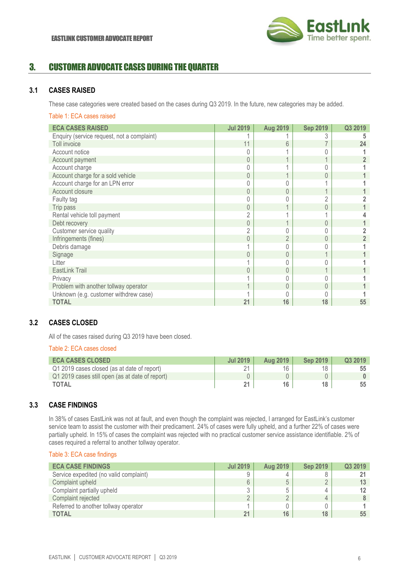

# 3. CUSTOMER ADVOCATE CASES DURING THE QUARTER

## **3.1 CASES RAISED**

These case categories were created based on the cases during Q3 2019. In the future, new categories may be added.

#### Table 1: ECA cases raised

| <b>ECA CASES RAISED</b>                    | <b>Jul 2019</b> | <b>Aug 2019</b> | <b>Sep 2019</b> | Q3 2019 |
|--------------------------------------------|-----------------|-----------------|-----------------|---------|
| Enquiry (service request, not a complaint) |                 |                 |                 |         |
| Toll invoice                               | 11              | 6               |                 | 24      |
| Account notice                             |                 |                 |                 |         |
| Account payment                            | 0               |                 |                 |         |
| Account charge                             |                 |                 |                 |         |
| Account charge for a sold vehicle          | 0               |                 |                 |         |
| Account charge for an LPN error            |                 |                 |                 |         |
| Account closure                            | $\Omega$        | Ω               |                 |         |
| Faulty tag                                 |                 |                 |                 |         |
| Trip pass                                  | 0               |                 | 0               |         |
| Rental vehicle toll payment                |                 |                 |                 |         |
| Debt recovery                              | 0               |                 |                 |         |
| Customer service quality                   | $\overline{2}$  |                 |                 |         |
| Infringements (fines)                      | $\overline{0}$  | $\overline{2}$  | 0               |         |
| Debris damage                              |                 |                 |                 |         |
| Signage                                    | $\Omega$        |                 |                 |         |
| Litter                                     |                 |                 |                 |         |
| EastLink Trail                             | 0               |                 |                 |         |
| Privacy                                    |                 |                 |                 |         |
| Problem with another tollway operator      |                 | 0               | 0               |         |
| Unknown (e.g. customer withdrew case)      |                 |                 |                 |         |
| <b>TOTAL</b>                               | 21              | 16              | 18              | 55      |

# **3.2 CASES CLOSED**

All of the cases raised during Q3 2019 have been closed.

#### Table 2: ECA cases closed

| <b>ECA CASES CLOSED</b>                         | <b>Jul 2019</b> | <b>Aug 2019</b> | <b>Sep 2019</b> | Q3 2019 |
|-------------------------------------------------|-----------------|-----------------|-----------------|---------|
| Q1 2019 cases closed (as at date of report)     | $\Omega$        |                 | 18              |         |
| Q1 2019 cases still open (as at date of report) |                 |                 |                 |         |
| <b>TOTAL</b>                                    | 21              | 16              | 18              |         |

#### **3.3 CASE FINDINGS**

In 38% of cases EastLink was not at fault, and even though the complaint was rejected, I arranged for EastLink's customer service team to assist the customer with their predicament. 24% of cases were fully upheld, and a further 22% of cases were partially upheld. In 15% of cases the complaint was rejected with no practical customer service assistance identifiable. 2% of cases required a referral to another tollway operator.

#### Table 3: ECA case findings

| <b>ECA CASE FINDINGS</b>               | <b>Jul 2019</b> | Aug 2019 | <b>Sep 2019</b> | Q3 2019 |
|----------------------------------------|-----------------|----------|-----------------|---------|
| Service expedited (no valid complaint) | Q               |          |                 |         |
| Complaint upheld                       | 6               |          |                 |         |
| Complaint partially upheld             | υ               |          |                 |         |
| Complaint rejected                     | ∼               |          |                 |         |
| Referred to another tollway operator   |                 |          |                 |         |
| <b>TOTAL</b>                           | 21              | 16       | 18              | 55      |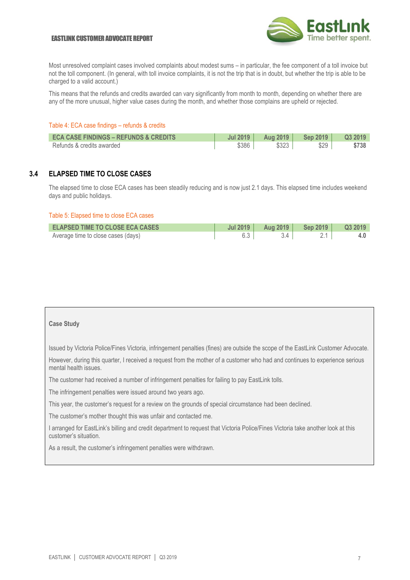#### EASTLINK CUSTOMER ADVOCATE REPORT



Most unresolved complaint cases involved complaints about modest sums – in particular, the fee component of a toll invoice but not the toll component. (In general, with toll invoice complaints, it is not the trip that is in doubt, but whether the trip is able to be charged to a valid account.)

This means that the refunds and credits awarded can vary significantly from month to month, depending on whether there are any of the more unusual, higher value cases during the month, and whether those complains are upheld or rejected.

#### Table 4: ECA case findings – refunds & credits

| <b>ECA CASE FINDINGS - REFUNDS &amp; CREDITS</b> | <b>Jul 2019</b> | <b>Aug 2019</b> | <b>Sep 2019</b> | <b>Q3 2019</b> |
|--------------------------------------------------|-----------------|-----------------|-----------------|----------------|
| Refunds & credits awarded                        | \$386           | \$323           | \$29            | \$738          |

## **3.4 ELAPSED TIME TO CLOSE CASES**

The elapsed time to close ECA cases has been steadily reducing and is now just 2.1 days. This elapsed time includes weekend days and public holidays.

#### Table 5: Elapsed time to close ECA cases

| <b>ELAPSED TIME TO CLOSE ECA CASES</b> | Jul 2019 | <b>Aug 2019</b> | Sep 2019 $\parallel$ | Q3 2019 |
|----------------------------------------|----------|-----------------|----------------------|---------|
| Average time to close cases (days)     |          |                 |                      |         |

#### **Case Study**

Issued by Victoria Police/Fines Victoria, infringement penalties (fines) are outside the scope of the EastLink Customer Advocate.

However, during this quarter, I received a request from the mother of a customer who had and continues to experience serious mental health issues.

The customer had received a number of infringement penalties for failing to pay EastLink tolls.

The infringement penalties were issued around two years ago.

This year, the customer's request for a review on the grounds of special circumstance had been declined.

The customer's mother thought this was unfair and contacted me.

I arranged for EastLink's billing and credit department to request that Victoria Police/Fines Victoria take another look at this customer's situation.

As a result, the customer's infringement penalties were withdrawn.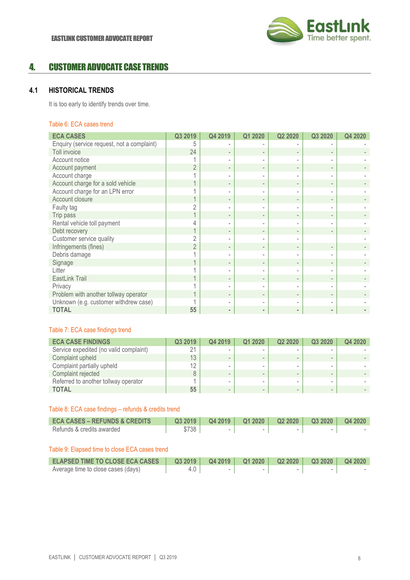

# 4. CUSTOMER ADVOCATE CASE TRENDS

# **4.1 HISTORICAL TRENDS**

It is too early to identify trends over time.

#### Table 6: ECA cases trend

| <b>ECA CASES</b>                           | Q3 2019 | Q4 2019                  | Q1 2020 | Q2 2020  | Q3 2020  | Q4 2020 |
|--------------------------------------------|---------|--------------------------|---------|----------|----------|---------|
| Enquiry (service request, not a complaint) |         |                          |         |          |          |         |
| Toll invoice                               | 24      |                          |         |          |          |         |
| Account notice                             |         |                          |         |          |          |         |
| Account payment                            |         | $\overline{\phantom{0}}$ |         |          |          |         |
| Account charge                             |         |                          |         |          |          |         |
| Account charge for a sold vehicle          |         | $\overline{\phantom{a}}$ |         |          |          |         |
| Account charge for an LPN error            |         |                          |         |          |          |         |
| Account closure                            |         |                          |         |          |          |         |
| Faulty tag                                 |         |                          |         |          |          |         |
| Trip pass                                  |         | $\overline{\phantom{0}}$ |         |          |          |         |
| Rental vehicle toll payment                |         |                          |         |          |          |         |
| Debt recovery                              |         | $\overline{\phantom{0}}$ |         |          |          |         |
| Customer service quality                   |         |                          |         |          |          |         |
| Infringements (fines)                      | 2       | $\overline{\phantom{0}}$ |         |          |          |         |
| Debris damage                              |         |                          |         |          |          |         |
| Signage                                    |         | $\overline{\phantom{0}}$ |         |          |          |         |
| Litter                                     |         |                          |         |          |          |         |
| EastLink Trail                             |         | $\overline{\phantom{0}}$ |         |          |          |         |
| Privacy                                    |         |                          |         |          |          |         |
| Problem with another tollway operator      |         |                          |         |          |          |         |
| Unknown (e.g. customer withdrew case)      |         |                          |         |          |          |         |
| <b>TOTAL</b>                               | 55      | $\sim$                   | $\sim$  | $\equiv$ | $\equiv$ |         |

## Table 7: ECA case findings trend

| <b>ECA CASE FINDINGS</b>               | Q3 2019   | Q4 2019 | Q1 2020 | Q <sub>2</sub> 20 <sub>20</sub> | Q3 2020 | Q4 2020 |
|----------------------------------------|-----------|---------|---------|---------------------------------|---------|---------|
| Service expedited (no valid complaint) | $\bigcap$ |         |         |                                 |         |         |
| Complaint upheld                       | 13        |         |         |                                 |         |         |
| Complaint partially upheld             | 12        |         | -       |                                 |         |         |
| Complaint rejected                     | 8         | $\sim$  | -       |                                 |         |         |
| Referred to another tollway operator   |           |         |         |                                 |         |         |
| <b>TOTAL</b>                           | 55        | $\sim$  | -       |                                 |         |         |

#### Table 8: ECA case findings – refunds & credits trend

| <b>ECA CASES – REFUNDS &amp; CREDITS</b> | Q32019 | Q4 2019 | Q12020 | $Q22020$   $Q32020$ | <b>Q4 2020</b> |
|------------------------------------------|--------|---------|--------|---------------------|----------------|
| Refunds & credits awarded                | \$738  |         |        |                     |                |

### Table 9: Elapsed time to close ECA cases trend

| <b>ELAPSED TIME TO CLOSE ECA CASES</b> |  |  |  |
|----------------------------------------|--|--|--|
| Average time to close cases (days)     |  |  |  |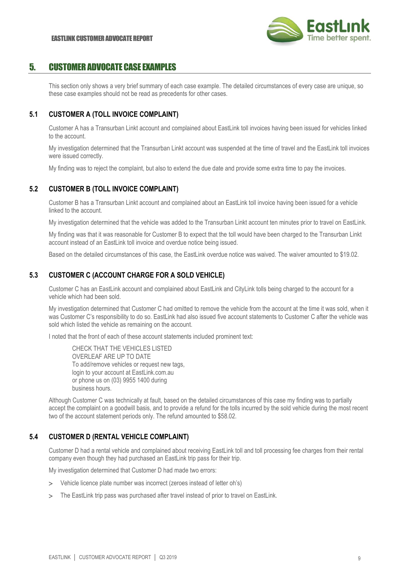

# 5. CUSTOMER ADVOCATE CASE EXAMPLES

This section only shows a very brief summary of each case example. The detailed circumstances of every case are unique, so these case examples should not be read as precedents for other cases.

# **5.1 CUSTOMER A (TOLL INVOICE COMPLAINT)**

Customer A has a Transurban Linkt account and complained about EastLink toll invoices having been issued for vehicles linked to the account.

My investigation determined that the Transurban Linkt account was suspended at the time of travel and the EastLink toll invoices were issued correctly.

My finding was to reject the complaint, but also to extend the due date and provide some extra time to pay the invoices.

# **5.2 CUSTOMER B (TOLL INVOICE COMPLAINT)**

Customer B has a Transurban Linkt account and complained about an EastLink toll invoice having been issued for a vehicle linked to the account.

My investigation determined that the vehicle was added to the Transurban Linkt account ten minutes prior to travel on EastLink.

My finding was that it was reasonable for Customer B to expect that the toll would have been charged to the Transurban Linkt account instead of an EastLink toll invoice and overdue notice being issued.

Based on the detailed circumstances of this case, the EastLink overdue notice was waived. The waiver amounted to \$19.02.

# **5.3 CUSTOMER C (ACCOUNT CHARGE FOR A SOLD VEHICLE)**

Customer C has an EastLink account and complained about EastLink and CityLink tolls being charged to the account for a vehicle which had been sold.

My investigation determined that Customer C had omitted to remove the vehicle from the account at the time it was sold, when it was Customer C's responsibility to do so. EastLink had also issued five account statements to Customer C after the vehicle was sold which listed the vehicle as remaining on the account.

I noted that the front of each of these account statements included prominent text:

CHECK THAT THE VEHICLES LISTED OVERLEAF ARE UP TO DATE To add/remove vehicles or request new tags, login to your account at EastLink.com.au or phone us on (03) 9955 1400 during business hours.

Although Customer C was technically at fault, based on the detailed circumstances of this case my finding was to partially accept the complaint on a goodwill basis, and to provide a refund for the tolls incurred by the sold vehicle during the most recent two of the account statement periods only. The refund amounted to \$58.02.

## **5.4 CUSTOMER D (RENTAL VEHICLE COMPLAINT)**

Customer D had a rental vehicle and complained about receiving EastLink toll and toll processing fee charges from their rental company even though they had purchased an EastLink trip pass for their trip.

My investigation determined that Customer D had made two errors:

- Vehicle licence plate number was incorrect (zeroes instead of letter oh's)
- The EastLink trip pass was purchased after travel instead of prior to travel on EastLink.